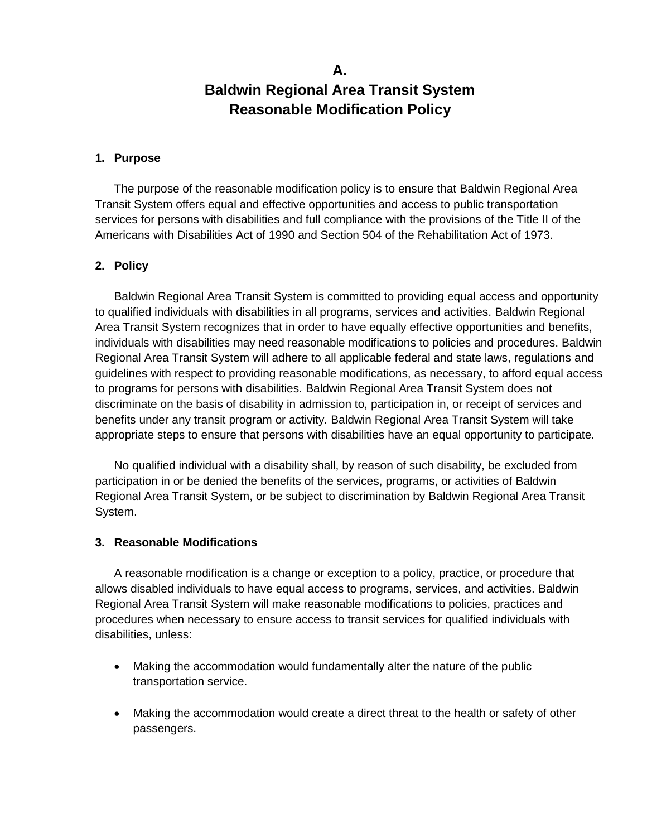# **A. Baldwin Regional Area Transit System Reasonable Modification Policy**

#### **1. Purpose**

The purpose of the reasonable modification policy is to ensure that Baldwin Regional Area Transit System offers equal and effective opportunities and access to public transportation services for persons with disabilities and full compliance with the provisions of the Title II of the Americans with Disabilities Act of 1990 and Section 504 of the Rehabilitation Act of 1973.

### **2. Policy**

Baldwin Regional Area Transit System is committed to providing equal access and opportunity to qualified individuals with disabilities in all programs, services and activities. Baldwin Regional Area Transit System recognizes that in order to have equally effective opportunities and benefits, individuals with disabilities may need reasonable modifications to policies and procedures. Baldwin Regional Area Transit System will adhere to all applicable federal and state laws, regulations and guidelines with respect to providing reasonable modifications, as necessary, to afford equal access to programs for persons with disabilities. Baldwin Regional Area Transit System does not discriminate on the basis of disability in admission to, participation in, or receipt of services and benefits under any transit program or activity. Baldwin Regional Area Transit System will take appropriate steps to ensure that persons with disabilities have an equal opportunity to participate.

No qualified individual with a disability shall, by reason of such disability, be excluded from participation in or be denied the benefits of the services, programs, or activities of Baldwin Regional Area Transit System, or be subject to discrimination by Baldwin Regional Area Transit System.

### **3. Reasonable Modifications**

A reasonable modification is a change or exception to a policy, practice, or procedure that allows disabled individuals to have equal access to programs, services, and activities. Baldwin Regional Area Transit System will make reasonable modifications to policies, practices and procedures when necessary to ensure access to transit services for qualified individuals with disabilities, unless:

- Making the accommodation would fundamentally alter the nature of the public transportation service.
- Making the accommodation would create a direct threat to the health or safety of other passengers.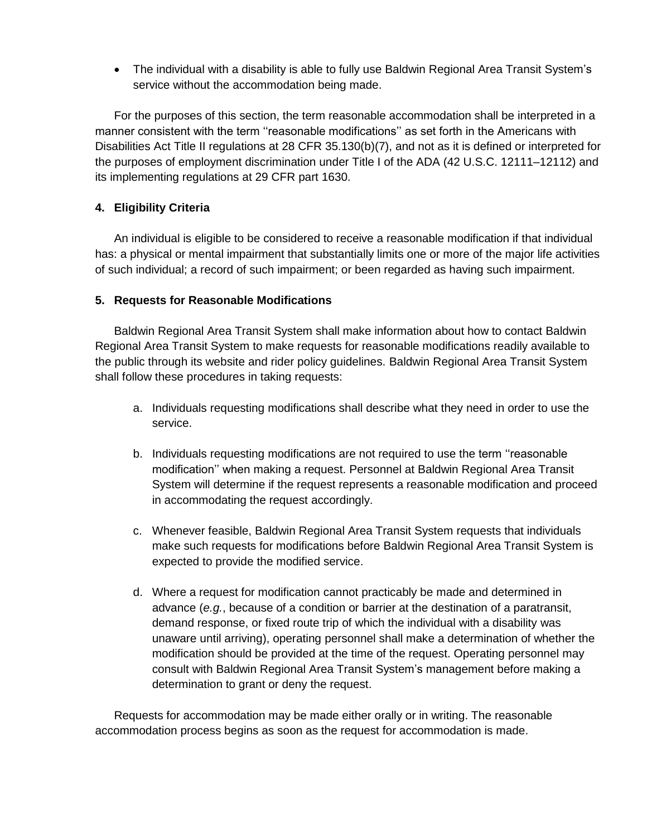• The individual with a disability is able to fully use Baldwin Regional Area Transit System's service without the accommodation being made.

For the purposes of this section, the term reasonable accommodation shall be interpreted in a manner consistent with the term ''reasonable modifications'' as set forth in the Americans with Disabilities Act Title II regulations at 28 CFR 35.130(b)(7), and not as it is defined or interpreted for the purposes of employment discrimination under Title I of the ADA (42 U.S.C. 12111–12112) and its implementing regulations at 29 CFR part 1630.

## **4. Eligibility Criteria**

An individual is eligible to be considered to receive a reasonable modification if that individual has: a physical or mental impairment that substantially limits one or more of the major life activities of such individual; a record of such impairment; or been regarded as having such impairment.

### **5. Requests for Reasonable Modifications**

Baldwin Regional Area Transit System shall make information about how to contact Baldwin Regional Area Transit System to make requests for reasonable modifications readily available to the public through its website and rider policy guidelines. Baldwin Regional Area Transit System shall follow these procedures in taking requests:

- a. Individuals requesting modifications shall describe what they need in order to use the service.
- b. Individuals requesting modifications are not required to use the term ''reasonable modification'' when making a request. Personnel at Baldwin Regional Area Transit System will determine if the request represents a reasonable modification and proceed in accommodating the request accordingly.
- c. Whenever feasible, Baldwin Regional Area Transit System requests that individuals make such requests for modifications before Baldwin Regional Area Transit System is expected to provide the modified service.
- d. Where a request for modification cannot practicably be made and determined in advance (*e.g.*, because of a condition or barrier at the destination of a paratransit, demand response, or fixed route trip of which the individual with a disability was unaware until arriving), operating personnel shall make a determination of whether the modification should be provided at the time of the request. Operating personnel may consult with Baldwin Regional Area Transit System's management before making a determination to grant or deny the request.

Requests for accommodation may be made either orally or in writing. The reasonable accommodation process begins as soon as the request for accommodation is made.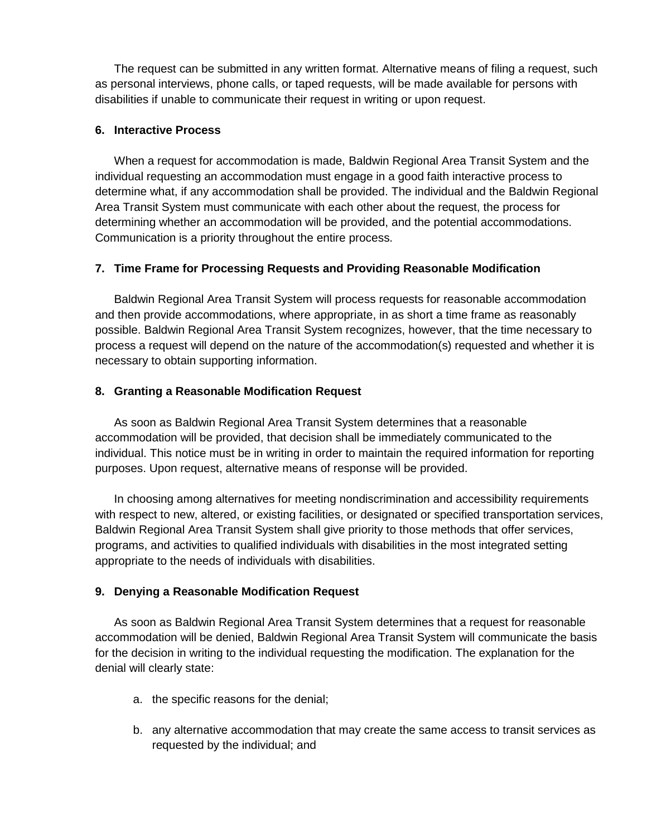The request can be submitted in any written format. Alternative means of filing a request, such as personal interviews, phone calls, or taped requests, will be made available for persons with disabilities if unable to communicate their request in writing or upon request.

#### **6. Interactive Process**

When a request for accommodation is made, Baldwin Regional Area Transit System and the individual requesting an accommodation must engage in a good faith interactive process to determine what, if any accommodation shall be provided. The individual and the Baldwin Regional Area Transit System must communicate with each other about the request, the process for determining whether an accommodation will be provided, and the potential accommodations. Communication is a priority throughout the entire process.

### **7. Time Frame for Processing Requests and Providing Reasonable Modification**

Baldwin Regional Area Transit System will process requests for reasonable accommodation and then provide accommodations, where appropriate, in as short a time frame as reasonably possible. Baldwin Regional Area Transit System recognizes, however, that the time necessary to process a request will depend on the nature of the accommodation(s) requested and whether it is necessary to obtain supporting information.

### **8. Granting a Reasonable Modification Request**

As soon as Baldwin Regional Area Transit System determines that a reasonable accommodation will be provided, that decision shall be immediately communicated to the individual. This notice must be in writing in order to maintain the required information for reporting purposes. Upon request, alternative means of response will be provided.

In choosing among alternatives for meeting nondiscrimination and accessibility requirements with respect to new, altered, or existing facilities, or designated or specified transportation services, Baldwin Regional Area Transit System shall give priority to those methods that offer services, programs, and activities to qualified individuals with disabilities in the most integrated setting appropriate to the needs of individuals with disabilities.

### **9. Denying a Reasonable Modification Request**

As soon as Baldwin Regional Area Transit System determines that a request for reasonable accommodation will be denied, Baldwin Regional Area Transit System will communicate the basis for the decision in writing to the individual requesting the modification. The explanation for the denial will clearly state:

- a. the specific reasons for the denial;
- b. any alternative accommodation that may create the same access to transit services as requested by the individual; and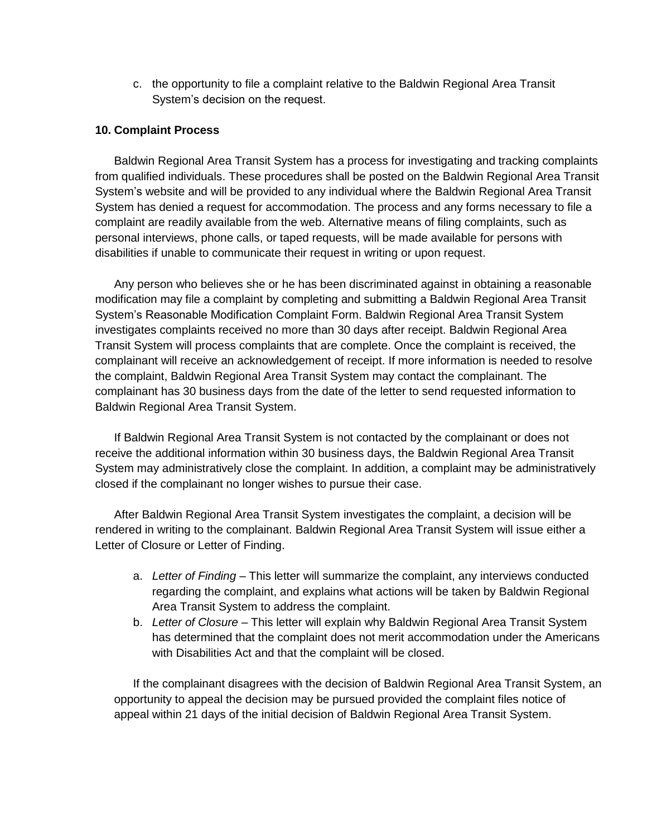c. the opportunity to file a complaint relative to the Baldwin Regional Area Transit System's decision on the request.

#### **10. Complaint Process**

Baldwin Regional Area Transit System has a process for investigating and tracking complaints from qualified individuals. These procedures shall be posted on the Baldwin Regional Area Transit System's website and will be provided to any individual where the Baldwin Regional Area Transit System has denied a request for accommodation. The process and any forms necessary to file a complaint are readily available from the web. Alternative means of filing complaints, such as personal interviews, phone calls, or taped requests, will be made available for persons with disabilities if unable to communicate their request in writing or upon request.

Any person who believes she or he has been discriminated against in obtaining a reasonable modification may file a complaint by completing and submitting a Baldwin Regional Area Transit System's Reasonable Modification Complaint Form. Baldwin Regional Area Transit System investigates complaints received no more than 30 days after receipt. Baldwin Regional Area Transit System will process complaints that are complete. Once the complaint is received, the complainant will receive an acknowledgement of receipt. If more information is needed to resolve the complaint, Baldwin Regional Area Transit System may contact the complainant. The complainant has 30 business days from the date of the letter to send requested information to Baldwin Regional Area Transit System.

If Baldwin Regional Area Transit System is not contacted by the complainant or does not receive the additional information within 30 business days, the Baldwin Regional Area Transit System may administratively close the complaint. In addition, a complaint may be administratively closed if the complainant no longer wishes to pursue their case.

After Baldwin Regional Area Transit System investigates the complaint, a decision will be rendered in writing to the complainant. Baldwin Regional Area Transit System will issue either a Letter of Closure or Letter of Finding.

- a. *Letter of Finding* This letter will summarize the complaint, any interviews conducted regarding the complaint, and explains what actions will be taken by Baldwin Regional Area Transit System to address the complaint.
- b. *Letter of Closure* This letter will explain why Baldwin Regional Area Transit System has determined that the complaint does not merit accommodation under the Americans with Disabilities Act and that the complaint will be closed.

If the complainant disagrees with the decision of Baldwin Regional Area Transit System, an opportunity to appeal the decision may be pursued provided the complaint files notice of appeal within 21 days of the initial decision of Baldwin Regional Area Transit System.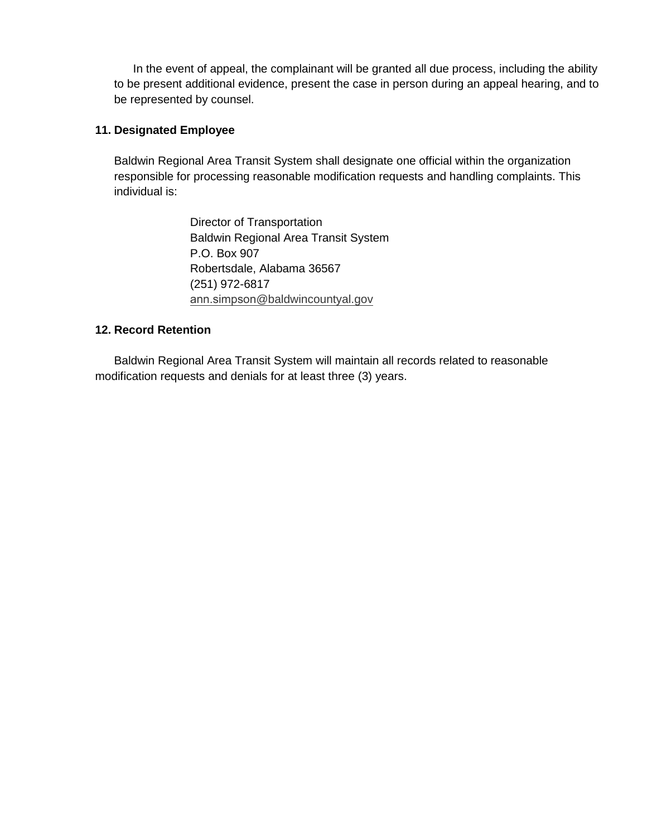In the event of appeal, the complainant will be granted all due process, including the ability to be present additional evidence, present the case in person during an appeal hearing, and to be represented by counsel.

### **11. Designated Employee**

Baldwin Regional Area Transit System shall designate one official within the organization responsible for processing reasonable modification requests and handling complaints. This individual is:

> Director of Transportation Baldwin Regional Area Transit System P.O. Box 907 Robertsdale, Alabama 36567 (251) 972-6817 ann.simpson[@baldwincountyal.gov](mailto:matthew.brown@baldwincountyal.gov)

### **12. Record Retention**

Baldwin Regional Area Transit System will maintain all records related to reasonable modification requests and denials for at least three (3) years.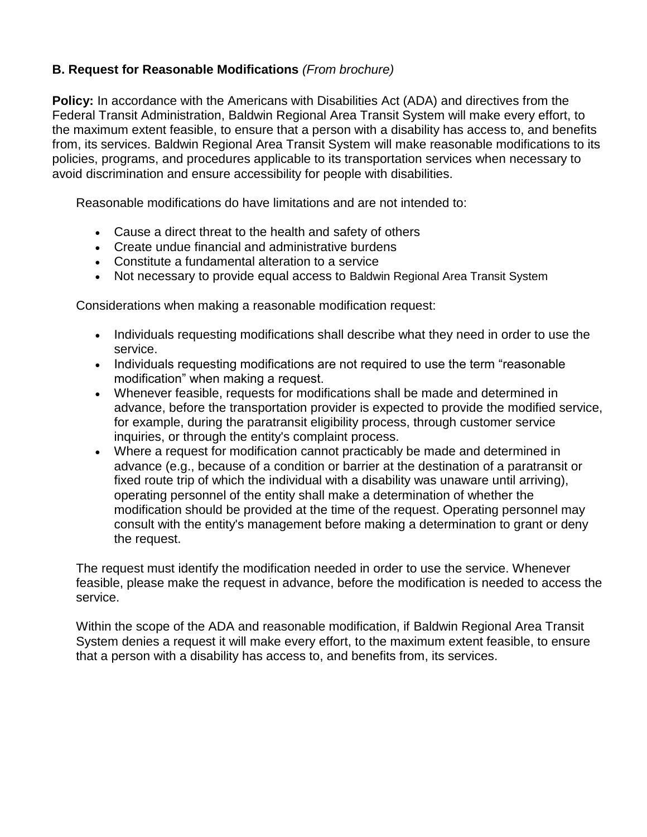## **B. Request for Reasonable Modifications** *(From brochure)*

**Policy:** In accordance with the Americans with Disabilities Act (ADA) and directives from the Federal Transit Administration, Baldwin Regional Area Transit System will make every effort, to the maximum extent feasible, to ensure that a person with a disability has access to, and benefits from, its services. Baldwin Regional Area Transit System will make reasonable modifications to its policies, programs, and procedures applicable to its transportation services when necessary to avoid discrimination and ensure accessibility for people with disabilities.

Reasonable modifications do have limitations and are not intended to:

- Cause a direct threat to the health and safety of others
- Create undue financial and administrative burdens
- Constitute a fundamental alteration to a service
- Not necessary to provide equal access to Baldwin Regional Area Transit System

Considerations when making a reasonable modification request:

- Individuals requesting modifications shall describe what they need in order to use the service.
- Individuals requesting modifications are not required to use the term "reasonable modification" when making a request.
- Whenever feasible, requests for modifications shall be made and determined in advance, before the transportation provider is expected to provide the modified service, for example, during the paratransit eligibility process, through customer service inquiries, or through the entity's complaint process.
- Where a request for modification cannot practicably be made and determined in advance (e.g., because of a condition or barrier at the destination of a paratransit or fixed route trip of which the individual with a disability was unaware until arriving), operating personnel of the entity shall make a determination of whether the modification should be provided at the time of the request. Operating personnel may consult with the entity's management before making a determination to grant or deny the request.

The request must identify the modification needed in order to use the service. Whenever feasible, please make the request in advance, before the modification is needed to access the service.

Within the scope of the ADA and reasonable modification, if Baldwin Regional Area Transit System denies a request it will make every effort, to the maximum extent feasible, to ensure that a person with a disability has access to, and benefits from, its services.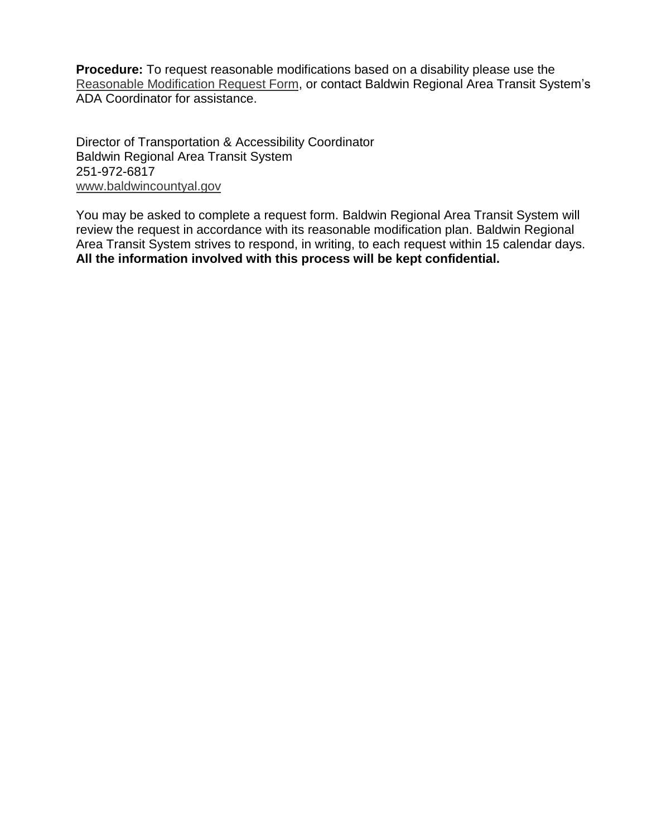**Procedure:** To request reasonable modifications based on a disability please use the [Reasonable Modification Request Form,](http://www.soundtransit.org/sites/default/files/ADA%20Request%20for%20Reasonable%20Modification%20-%20Request%20Form%202.pdf) or contact Baldwin Regional Area Transit System's ADA Coordinator for assistance.

Director of Transportation & Accessibility Coordinator Baldwin Regional Area Transit System 251-972-6817 [www.baldwincountyal.gov](http://www.baldwincountyal.gov/)

You may be asked to complete a request form. Baldwin Regional Area Transit System will review the request in accordance with its reasonable modification plan. Baldwin Regional Area Transit System strives to respond, in writing, to each request within 15 calendar days. **All the information involved with this process will be kept confidential.**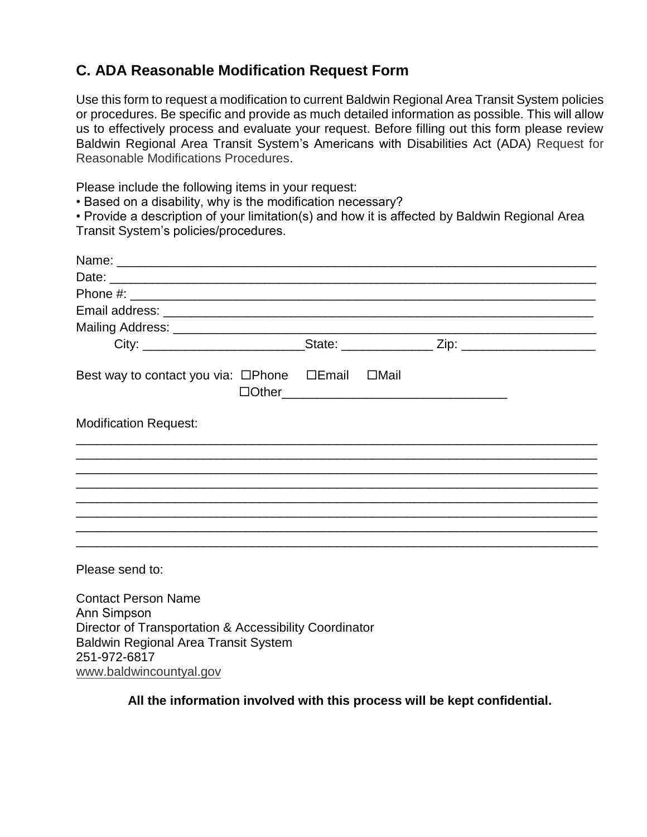# **C. ADA Reasonable Modification Request Form**

Use this form to request a modification to current Baldwin Regional Area Transit System policies or procedures. Be specific and provide as much detailed information as possible. This will allow us to effectively process and evaluate your request. Before filling out this form please review Baldwin Regional Area Transit System's Americans with Disabilities Act (ADA) Request for Reasonable Modifications Procedures.

Please include the following items in your request:

• Based on a disability, why is the modification necessary?

• Provide a description of your limitation(s) and how it is affected by Baldwin Regional Area Transit System's policies/procedures.

| Name: Name:                                                 |                                                                                                                                                                                                                                     |  |
|-------------------------------------------------------------|-------------------------------------------------------------------------------------------------------------------------------------------------------------------------------------------------------------------------------------|--|
|                                                             |                                                                                                                                                                                                                                     |  |
|                                                             |                                                                                                                                                                                                                                     |  |
|                                                             |                                                                                                                                                                                                                                     |  |
|                                                             |                                                                                                                                                                                                                                     |  |
|                                                             |                                                                                                                                                                                                                                     |  |
| Best way to contact you via: □Phone □Email □Mail            | <b>Other</b> 2001 - 2012 - 2012 - 2012 - 2012 - 2012 - 2012 - 2012 - 2012 - 2013 - 2014 - 2014 - 2014 - 2014 - 2014 - 2014 - 2014 - 2014 - 2014 - 2014 - 2014 - 2014 - 2014 - 2014 - 2014 - 2014 - 2014 - 2014 - 2014 - 2014 - 2014 |  |
| <b>Modification Request:</b>                                |                                                                                                                                                                                                                                     |  |
|                                                             |                                                                                                                                                                                                                                     |  |
|                                                             |                                                                                                                                                                                                                                     |  |
|                                                             |                                                                                                                                                                                                                                     |  |
| <u> 1980 - Johann Stoff, amerikansk politiker (d. 1980)</u> |                                                                                                                                                                                                                                     |  |
|                                                             |                                                                                                                                                                                                                                     |  |
|                                                             |                                                                                                                                                                                                                                     |  |
| Please send to:                                             |                                                                                                                                                                                                                                     |  |
| <b>Contact Person Name</b>                                  |                                                                                                                                                                                                                                     |  |
| <b>Ann Simpson</b>                                          |                                                                                                                                                                                                                                     |  |
| Director of Transportation & Accessibility Coordinator      |                                                                                                                                                                                                                                     |  |
| <b>Baldwin Regional Area Transit System</b>                 |                                                                                                                                                                                                                                     |  |
| 251-972-6817                                                |                                                                                                                                                                                                                                     |  |
| www.baldwincountyal.gov                                     |                                                                                                                                                                                                                                     |  |

**All the information involved with this process will be kept confidential.**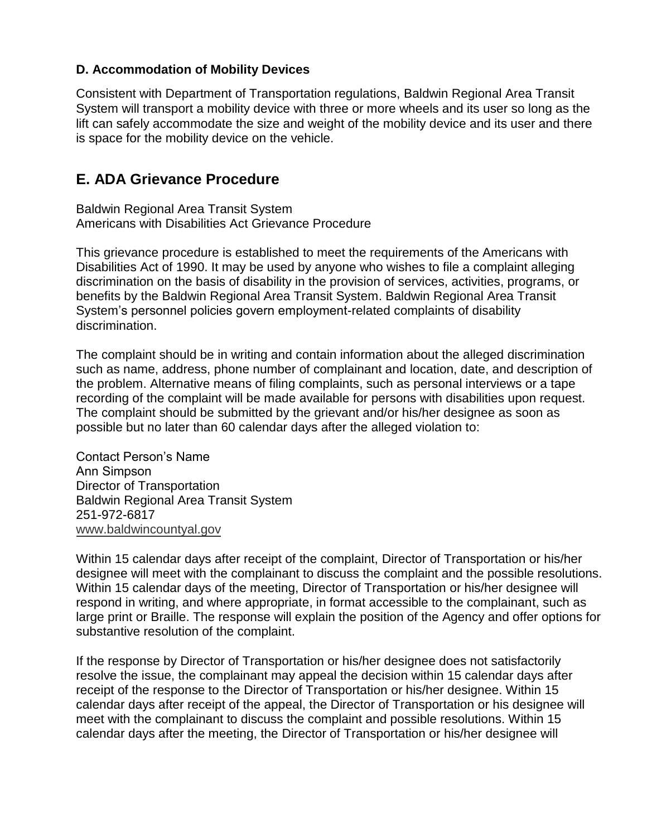## **D. Accommodation of Mobility Devices**

Consistent with Department of Transportation regulations, Baldwin Regional Area Transit System will transport a mobility device with three or more wheels and its user so long as the lift can safely accommodate the size and weight of the mobility device and its user and there is space for the mobility device on the vehicle.

# **E. ADA Grievance Procedure**

Baldwin Regional Area Transit System Americans with Disabilities Act Grievance Procedure

This grievance procedure is established to meet the requirements of the Americans with Disabilities Act of 1990. It may be used by anyone who wishes to file a complaint alleging discrimination on the basis of disability in the provision of services, activities, programs, or benefits by the Baldwin Regional Area Transit System. Baldwin Regional Area Transit System's personnel policies govern employment-related complaints of disability discrimination.

The complaint should be in writing and contain information about the alleged discrimination such as name, address, phone number of complainant and location, date, and description of the problem. Alternative means of filing complaints, such as personal interviews or a tape recording of the complaint will be made available for persons with disabilities upon request. The complaint should be submitted by the grievant and/or his/her designee as soon as possible but no later than 60 calendar days after the alleged violation to:

Contact Person's Name Ann Simpson Director of Transportation Baldwin Regional Area Transit System 251-972-6817 [www.baldwincountyal.gov](http://www.baldwincountyal.gov/)

Within 15 calendar days after receipt of the complaint, Director of Transportation or his/her designee will meet with the complainant to discuss the complaint and the possible resolutions. Within 15 calendar days of the meeting, Director of Transportation or his/her designee will respond in writing, and where appropriate, in format accessible to the complainant, such as large print or Braille. The response will explain the position of the Agency and offer options for substantive resolution of the complaint.

If the response by Director of Transportation or his/her designee does not satisfactorily resolve the issue, the complainant may appeal the decision within 15 calendar days after receipt of the response to the Director of Transportation or his/her designee. Within 15 calendar days after receipt of the appeal, the Director of Transportation or his designee will meet with the complainant to discuss the complaint and possible resolutions. Within 15 calendar days after the meeting, the Director of Transportation or his/her designee will